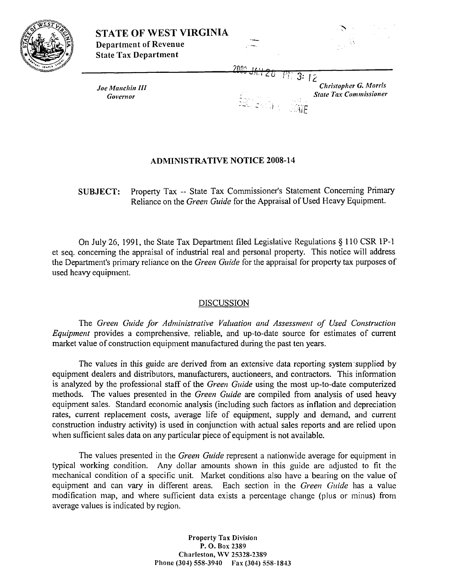

## **STATE OF WEST VIRGINIA**  Department **of** Revenue State Tax Department



**Christopher G. Morris State Tax Commissioner** 

 $3:12$ 

*Joe Manchin III Go~~crrror* 

## **ADMINISTRATIVE NOTICE 2008-14**

**SUBJECT:** Property Tax -- State Tax Commissioner's Statement Concerning Primary Reliance on the *Green Guide* for the Appraisal of Used Heavy Equipment.

 $2000$ 

On July 26, 1991, the State Tax Department filed Legislative Regulations **9** 110 CSR 1P-1 et seq. concerning the appraisal of industrial real and personal property. This notice will address the Department's primary reliance on the *Green Guide* for the appraisal for property tax purposes of used heavy equipment.

## DISCUSSION

The Green Guide for Administrative Valuation and Assessment of Used Construction *Equipment* provides a comprehensive, reliable, and up-to-date source for estimates of current market value of construction equipment manufactured during the past ten years.

The values in this guide are derived from an extensive data reporting system'supplied by equipment dealers and distributors, manufacturers, auctioneers, and contractors. This information is analyzed by the professional staff of the *Green Guide* using the most up-to-date computerized methods. The values presented in the *Green Guide* are compiled from analysis of used heavy equipment sales. Standard economic analysis (including such factors as inflation and depreciation rates, current replacement costs, average life of equipment, supply and demand, and current construction industry activity) is used in conjunction with actual sales reports and are relied upon when sufficient sales data on any particular piece of equipment is not available.

The values presented in the *Green Guide* represent a nationwide average for equipment in typical working condition. Any dollar amounts shown in this guide are adjusted to fit the mechanical condition of a specific unit. Market conditions also have a bearing on the value of equipment and can vary in different areas. Each section in the *Green Guide* has a value modification map, and where sufficient data exists a percentage change (plus or minus) from average values is indicated by region.

> Property **Tax Division P. 0. BOX** 2389 Charleston, **FYV** 25328-2389 **Phone** (301) 558-3940 Fax (304) 558-1813